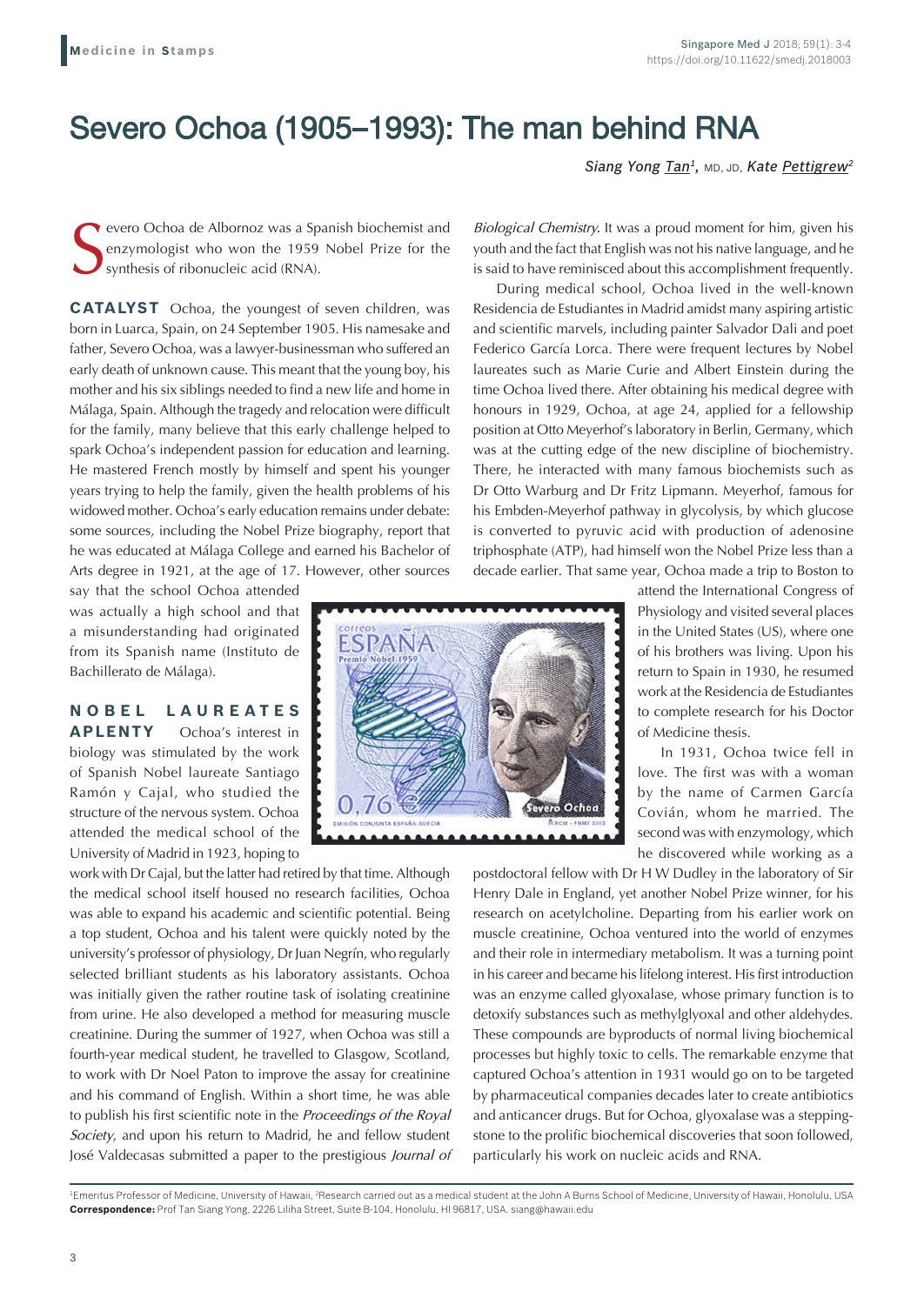## Severo Ochoa (1905–1993): The man behind RNA

*Siang Yong Tan1,* MD, JD, *Kate Pettigrew2*

S evero Ochoa de Albornoz was a Spanish biochemist and enzymologist who won the 1959 Nobel Prize for the synthesis of ribonucleic acid (RNA).

**CATALYST** Ochoa, the youngest of seven children, was born in Luarca, Spain, on 24 September 1905. His namesake and father, Severo Ochoa, was a lawyer-businessman who suffered an early death of unknown cause. This meant that the young boy, his mother and his six siblings needed to find a new life and home in Málaga, Spain. Although the tragedy and relocation were difficult for the family, many believe that this early challenge helped to spark Ochoa's independent passion for education and learning. He mastered French mostly by himself and spent his younger years trying to help the family, given the health problems of his widowed mother. Ochoa's early education remains under debate: some sources, including the Nobel Prize biography, report that he was educated at Málaga College and earned his Bachelor of Arts degree in 1921, at the age of 17. However, other sources

say that the school Ochoa attended was actually a high school and that a misunderstanding had originated from its Spanish name (Instituto de Bachillerato de Málaga).

**N O B E L L A U R E A T E S APLENTY** Ochoa's interest in biology was stimulated by the work of Spanish Nobel laureate Santiago Ramón y Cajal, who studied the structure of the nervous system. Ochoa attended the medical school of the University of Madrid in 1923, hoping to

work with Dr Cajal, but the latter had retired by that time. Although the medical school itself housed no research facilities, Ochoa was able to expand his academic and scientific potential. Being a top student, Ochoa and his talent were quickly noted by the university's professor of physiology, Dr Juan Negrín, who regularly selected brilliant students as his laboratory assistants. Ochoa was initially given the rather routine task of isolating creatinine from urine. He also developed a method for measuring muscle creatinine. During the summer of 1927, when Ochoa was still a fourth-year medical student, he travelled to Glasgow, Scotland, to work with Dr Noel Paton to improve the assay for creatinine and his command of English. Within a short time, he was able to publish his first scientific note in the *Proceedings of the Royal Society*, and upon his return to Madrid, he and fellow student José Valdecasas submitted a paper to the prestigious *Journal of*  *Biological Chemistry.* It was a proud moment for him, given his youth and the fact that English was not his native language, and he is said to have reminisced about this accomplishment frequently.

During medical school, Ochoa lived in the well-known Residencia de Estudiantes in Madrid amidst many aspiring artistic and scientific marvels, including painter Salvador Dali and poet Federico García Lorca. There were frequent lectures by Nobel laureates such as Marie Curie and Albert Einstein during the time Ochoa lived there. After obtaining his medical degree with honours in 1929, Ochoa, at age 24, applied for a fellowship position at Otto Meyerhof's laboratory in Berlin, Germany, which was at the cutting edge of the new discipline of biochemistry. There, he interacted with many famous biochemists such as Dr Otto Warburg and Dr Fritz Lipmann. Meyerhof, famous for his Embden-Meyerhof pathway in glycolysis, by which glucose is converted to pyruvic acid with production of adenosine triphosphate (ATP), had himself won the Nobel Prize less than a decade earlier. That same year, Ochoa made a trip to Boston to



love. The first was with a woman by the name of Carmen García Covián, whom he married. The second was with enzymology, which he discovered while working as a

postdoctoral fellow with Dr H W Dudley in the laboratory of Sir Henry Dale in England, yet another Nobel Prize winner, for his research on acetylcholine. Departing from his earlier work on muscle creatinine, Ochoa ventured into the world of enzymes and their role in intermediary metabolism. It was a turning point in his career and became his lifelong interest. His first introduction was an enzyme called glyoxalase, whose primary function is to detoxify substances such as methylglyoxal and other aldehydes. These compounds are byproducts of normal living biochemical processes but highly toxic to cells. The remarkable enzyme that captured Ochoa's attention in 1931 would go on to be targeted by pharmaceutical companies decades later to create antibiotics and anticancer drugs. But for Ochoa, glyoxalase was a steppingstone to the prolific biochemical discoveries that soon followed, particularly his work on nucleic acids and RNA.

<sup>1</sup>Emeritus Professor of Medicine, University of Hawaii, <sup>2</sup>Research carried out as a medical student at the John A Burns School of Medicine, University of Hawaii, Honolulu, USA **Correspondence:** Prof Tan Siang Yong, 2226 Liliha Street, Suite B-104, Honolulu, HI 96817, USA. siang@hawaii.edu